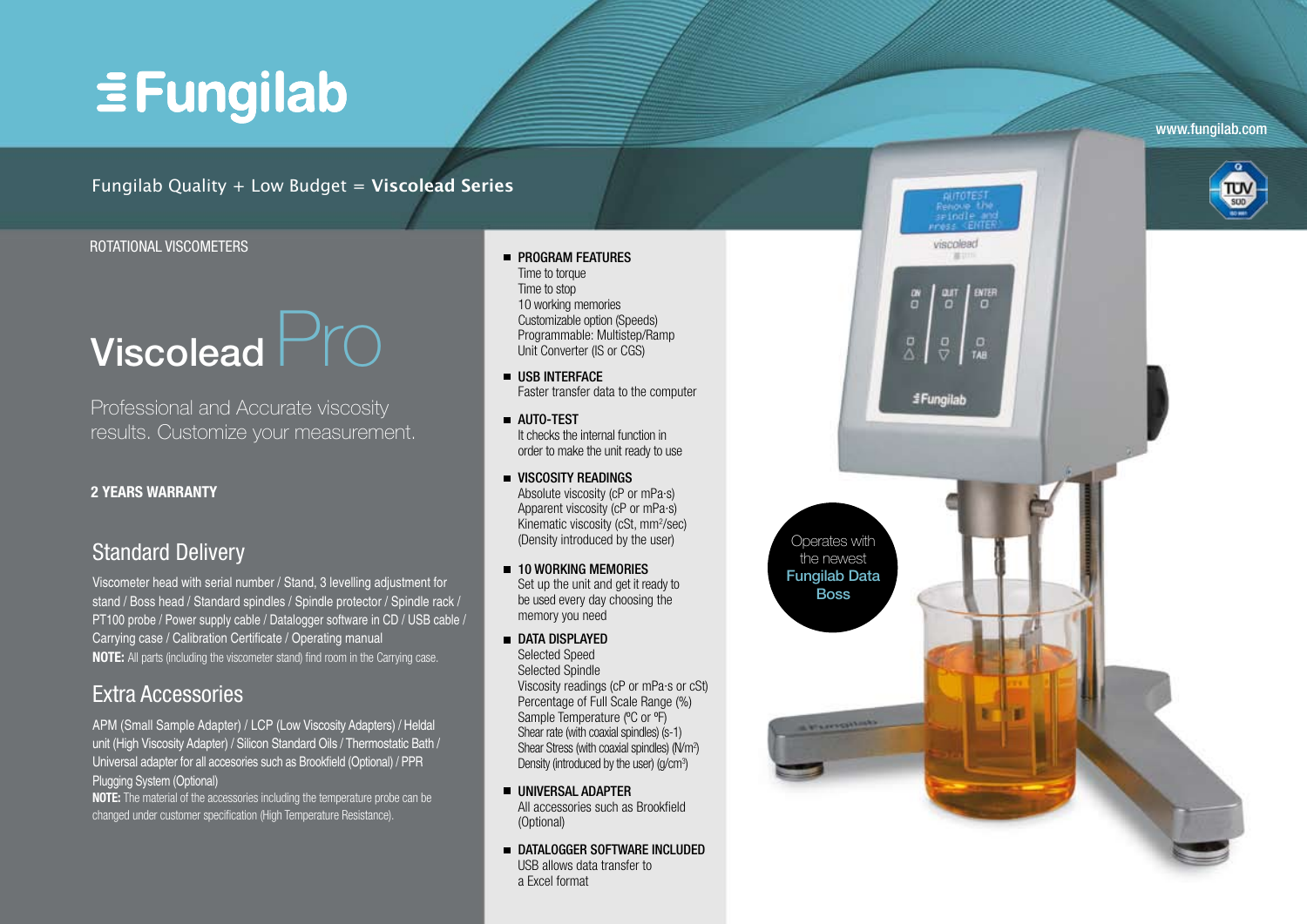# $\equiv$  Fungilab

www.fungilab.com

## Fungilab Quality + Low Budget = **Viscolead Series**

### Rotational Viscomete r s

# Viscolead  $Pr$

Professional and Accurate viscosity results. Customize your measurement.

### **2 y ears warrant y**

# Standard Delivery

Viscometer head with serial number / Stand, 3 levelling adjustment for stand / Boss head / Standard spindles / Spindle protector / Spindle rack / PT100 probe / Power supply cable / Datalogger software in CD / USB cable / Carrying case / Calibration Certificate / Operating manual **NOTE:** All parts (including the viscometer stand) find room in the Carrying case.

## Extra Accessories

APM (Small Sample Adapter) / LCP (Low Viscosity Adapters) / Heldal unit (High Viscosity Adapter) / Silicon Standard Oils / Thermostatic Bath / Universal adapter for all accesories such as Brookfield (Optional) / PPR Plugging System (Optional)

**NOTE:** The material of the accessories including the temperature probe can be changed under customer specification (High Temperature Resistance).

- **PROGRAM FEATURES**<br>Time to torque<br>Time to stop<br>10 working memories<br>Customizable option (Spe<br>Programmable: Multiste<br>Unit Converter (IS or CG<br>USB INTERFACE<br>Faster transfer data to t<br>AUTO-TEST<br>It checks the internal funder to Time to torque Time to stop 10 working memories Customizable option (Speeds) Programmable: Multistep/Ramp Unit Converter (IS or CGS)
- Faster transfer data to the computer
- It checks the internal function in order to make the unit ready to use
- **UISCOSITY READINGS** Absolute viscosity (cP or mPa·s) Apparent viscosity (cP or mPa·s) Kinematic viscosity (cSt, mm 2 /sec) (Density introduced by the user)
- 10 w orking mem ories Set up the unit and get it ready to be used every day choosing the
- **AUTO-TE**<br>It checks torder to m<br>Indusculte Apparent<br>Absolute Apparent<br>Kinematic<br>(Density in<br>**10 WORK**<br>Selected Selected<br>Selected Viscosity<br>Percentagample Ti<br>Shear rate<br>Shear atte<br>Shear atte<br>Shear atte<br>Shear atte<br>Shear atte **USB INTERFACE**<br>Faster transfer da<br>AUTO-TEST<br>It checks the interi<br>order to make the<br>MSCOSITY REAI<br>Absolute viscosit<br>Apparent viscosit<br>Kinematic viscosit<br>Unematic viscosit<br>Oensity introduce<br>**10 WORKING MI**<br>Set up the unit a **DATA DISPLAYED** Selected Speed Selected Spindle Viscosity readings (cP or mPa·s or cSt) Percentage of Full Scale Range (%) Sample Temperature (ºC or ºF) Shear rate (with coaxial spindles) (s-1) Shear Stress (with coaxial spindles) (N/m<sup>2</sup>) Density (introduced by the user) (g/cm 3)
- Universal adapte R All accessories such as Brookfield (Optional)
- DATALOGGER SOFTWARE INCLUDED USB allows data transfer to a Excel format